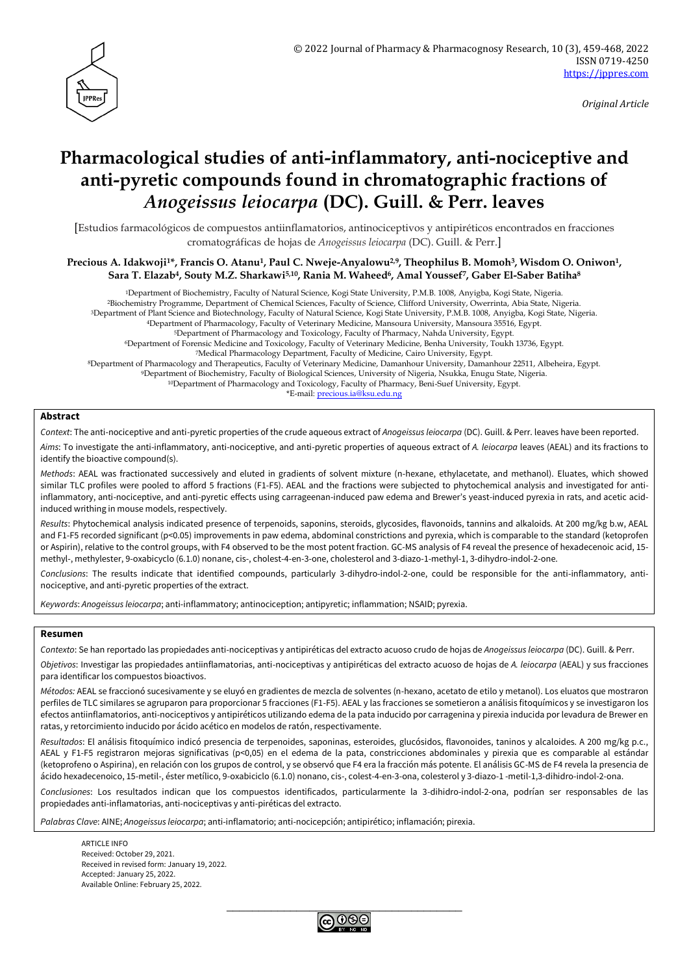

*Original Article*

# **Pharmacological studies of anti-inflammatory, anti-nociceptive and anti-pyretic compounds found in chromatographic fractions of**  *Anogeissus leiocarpa* **(DC). Guill. & Perr. leaves**

[Estudios farmacológicos de compuestos antiinflamatorios, antinociceptivos y antipiréticos encontrados en fracciones cromatográficas de hojas de *Anogeissus leiocarpa* (DC). Guill. & Perr.]

**Precious A. Idakwoji1\*, Francis O. Atanu1, Paul C. Nweje-Anyalowu2,9, Theophilus B. Momoh3, Wisdom O. Oniwon1, Sara T. Elazab4, Souty M.Z. Sharkawi5,10, Rania M. Waheed6, Amal Youssef7, Gaber El-Saber Batiha<sup>8</sup>**

Department of Biochemistry, Faculty of Natural Science, Kogi State University, P.M.B. 1008, Anyigba, Kogi State, Nigeria. Biochemistry Programme, Department of Chemical Sciences, Faculty of Science, Clifford University, Owerrinta, Abia State, Nigeria. Department of Plant Science and Biotechnology, Faculty of Natural Science, Kogi State University, P.M.B. 1008, Anyigba, Kogi State, Nigeria. Department of Pharmacology, Faculty of Veterinary Medicine, Mansoura University, Mansoura 35516, Egypt. Department of Pharmacology and Toxicology, Faculty of Pharmacy, Nahda University, Egypt. Department of Forensic Medicine and Toxicology, Faculty of Veterinary Medicine, Benha University, Toukh 13736, Egypt. Medical Pharmacology Department, Faculty of Medicine, Cairo University, Egypt. Department of Pharmacology and Therapeutics, Faculty of Veterinary Medicine, Damanhour University, Damanhour 22511, Albeheira, Egypt. Department of Biochemistry, Faculty of Biological Sciences, University of Nigeria, Nsukka, Enugu State, Nigeria. Department of Pharmacology and Toxicology, Faculty of Pharmacy, Beni-Suef University, Egypt.

\*E-mail: [precious.ia@ksu.edu.ng](mailto:precious.ia@ksu.edu.ng)

#### **Abstract**

*Context*: The anti-nociceptive and anti-pyretic properties of the crude aqueous extract of *Anogeissus leiocarpa* (DC). Guill. & Perr. leaves have been reported.

*Aims*: To investigate the anti-inflammatory, anti-nociceptive, and anti-pyretic properties of aqueous extract of *A. leiocarpa* leaves (AEAL) and its fractions to identify the bioactive compound(s).

*Methods*: AEAL was fractionated successively and eluted in gradients of solvent mixture (n-hexane, ethylacetate, and methanol). Eluates, which showed similar TLC profiles were pooled to afford 5 fractions (F1-F5). AEAL and the fractions were subjected to phytochemical analysis and investigated for antiinflammatory, anti-nociceptive, and anti-pyretic effects using carrageenan-induced paw edema and Brewer's yeast-induced pyrexia in rats, and acetic acidinduced writhing in mouse models, respectively.

*Results*: Phytochemical analysis indicated presence of terpenoids, saponins, steroids, glycosides, flavonoids, tannins and alkaloids. At 200 mg/kg b.w, AEAL and F1-F5 recorded significant (p<0.05) improvements in paw edema, abdominal constrictions and pyrexia, which is comparable to the standard (ketoprofen or Aspirin), relative to the control groups, with F4 observed to be the most potent fraction. GC-MS analysis of F4 reveal the presence of hexadecenoic acid, 15 methyl-, methylester, 9-oxabicyclo (6.1.0) nonane, cis-, cholest-4-en-3-one, cholesterol and 3-diazo-1-methyl-1, 3-dihydro-indol-2-one.

*Conclusions*: The results indicate that identified compounds, particularly 3-dihydro-indol-2-one, could be responsible for the anti-inflammatory, antinociceptive, and anti-pyretic properties of the extract.

*Keywords*: *Anogeissus leiocarpa*; anti-inflammatory; antinociception; antipyretic; inflammation; NSAID; pyrexia.

#### **Resumen**

*Contexto*: Se han reportado las propiedades anti-nociceptivas y antipiréticas del extracto acuoso crudo de hojas de *Anogeissus leiocarpa* (DC). Guill. & Perr.

*Objetivos*: Investigar las propiedades antiinflamatorias, anti-nociceptivas y antipiréticas del extracto acuoso de hojas de *A. leiocarpa* (AEAL) y sus fracciones para identificar los compuestos bioactivos.

*Métodos:* AEAL se fraccionó sucesivamente y se eluyó en gradientes de mezcla de solventes (n-hexano, acetato de etilo y metanol). Los eluatos que mostraron perfiles de TLC similares se agruparon para proporcionar 5 fracciones (F1-F5). AEAL y las fracciones se sometieron a análisis fitoquímicos y se investigaron los efectos antiinflamatorios, anti-nociceptivos y antipiréticos utilizando edema de la pata inducido por carragenina y pirexia inducida por levadura de Brewer en ratas, y retorcimiento inducido por ácido acético en modelos de ratón, respectivamente.

*Resultados*: El análisis fitoquímico indicó presencia de terpenoides, saponinas, esteroides, glucósidos, flavonoides, taninos y alcaloides. A 200 mg/kg p.c., AEAL y F1-F5 registraron mejoras significativas (p<0,05) en el edema de la pata, constricciones abdominales y pirexia que es comparable al estándar (ketoprofeno o Aspirina), en relación con los grupos de control, y se observó que F4 era la fracción más potente. El análisis GC-MS de F4 revela la presencia de ácido hexadecenoico, 15-metil-, éster metílico, 9-oxabiciclo (6.1.0) nonano, cis-, colest-4-en-3-ona, colesterol y 3-diazo-1 -metil-1,3-dihidro-indol-2-ona.

*Conclusiones*: Los resultados indican que los compuestos identificados, particularmente la 3-dihidro-indol-2-ona, podrían ser responsables de las propiedades anti-inflamatorias, anti-nociceptivas y anti-piréticas del extracto.

*Palabras Clave*: AINE; *Anogeissus leiocarpa*; anti-inflamatorio; anti-nocicepción; antipirético; inflamación; pirexia.

ARTICLE INFO Received: October 29, 2021. Received in revised form: January 19, 2022. Accepted: January 25, 2022. Available Online: February 25, 2022.

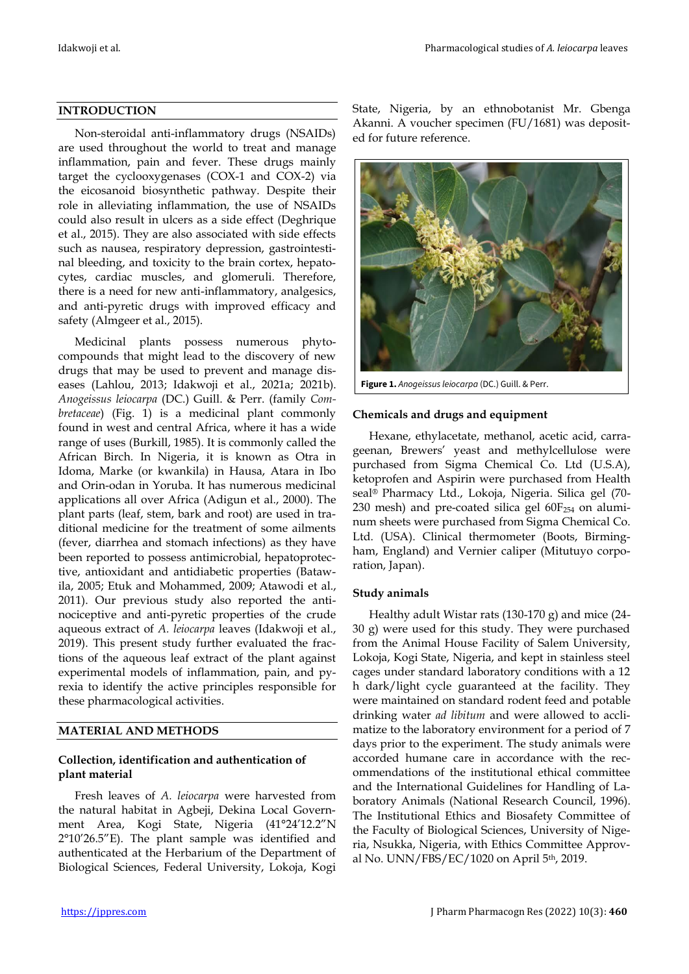## **INTRODUCTION**

Non-steroidal anti-inflammatory drugs (NSAIDs) are used throughout the world to treat and manage inflammation, pain and fever. These drugs mainly target the cyclooxygenases (COX-1 and COX-2) via the eicosanoid biosynthetic pathway. Despite their role in alleviating inflammation, the use of NSAIDs could also result in ulcers as a side effect (Deghrique et al., 2015). They are also associated with side effects such as nausea, respiratory depression, gastrointestinal bleeding, and toxicity to the brain cortex, hepatocytes, cardiac muscles, and glomeruli. Therefore, there is a need for new anti-inflammatory, analgesics, and anti-pyretic drugs with improved efficacy and safety (Almgeer et al., 2015).

Medicinal plants possess numerous phytocompounds that might lead to the discovery of new drugs that may be used to prevent and manage diseases (Lahlou, 2013; Idakwoji et al., 2021a; 2021b). *Anogeissus leiocarpa* (DC.) Guill. & Perr. (family *Combretaceae*) (Fig. 1) is a medicinal plant commonly found in west and central Africa, where it has a wide range of uses (Burkill, 1985). It is commonly called the African Birch. In Nigeria, it is known as Otra in Idoma, Marke (or kwankila) in Hausa, Atara in Ibo and Orin-odan in Yoruba. It has numerous medicinal applications all over Africa (Adigun et al., 2000). The plant parts (leaf, stem, bark and root) are used in traditional medicine for the treatment of some ailments (fever, diarrhea and stomach infections) as they have been reported to possess antimicrobial, hepatoprotective, antioxidant and antidiabetic properties (Batawila, 2005; Etuk and Mohammed, 2009; Atawodi et al., 2011). Our previous study also reported the antinociceptive and anti-pyretic properties of the crude aqueous extract of *A. leiocarpa* leaves (Idakwoji et al., 2019). This present study further evaluated the fractions of the aqueous leaf extract of the plant against experimental models of inflammation, pain, and pyrexia to identify the active principles responsible for these pharmacological activities.

## **MATERIAL AND METHODS**

# **Collection, identification and authentication of plant material**

Fresh leaves of *A. leiocarpa* were harvested from the natural habitat in Agbeji, Dekina Local Government Area, Kogi State, Nigeria (41°24'12.2"N 2°10'26.5"E). The plant sample was identified and authenticated at the Herbarium of the Department of Biological Sciences, Federal University, Lokoja, Kogi State, Nigeria, by an ethnobotanist Mr. Gbenga Akanni. A voucher specimen (FU/1681) was deposited for future reference.



**Figure 1.** *Anogeissus leiocarpa* (DC.) Guill. & Perr.

## **Chemicals and drugs and equipment**

Hexane, ethylacetate, methanol, acetic acid, carrageenan, Brewers' yeast and methylcellulose were purchased from Sigma Chemical Co. Ltd (U.S.A), ketoprofen and Aspirin were purchased from Health seal® Pharmacy Ltd., Lokoja, Nigeria. Silica gel (70- 230 mesh) and pre-coated silica gel  $60F_{254}$  on aluminum sheets were purchased from Sigma Chemical Co. Ltd. (USA). Clinical thermometer (Boots, Birmingham, England) and Vernier caliper (Mitutuyo corporation, Japan).

## **Study animals**

Healthy adult Wistar rats (130-170 g) and mice (24- 30 g) were used for this study. They were purchased from the Animal House Facility of Salem University, Lokoja, Kogi State, Nigeria, and kept in stainless steel cages under standard laboratory conditions with a 12 h dark/light cycle guaranteed at the facility. They were maintained on standard rodent feed and potable drinking water *ad libitum* and were allowed to acclimatize to the laboratory environment for a period of 7 days prior to the experiment. The study animals were accorded humane care in accordance with the recommendations of the institutional ethical committee and the International Guidelines for Handling of Laboratory Animals (National Research Council, 1996). The Institutional Ethics and Biosafety Committee of the Faculty of Biological Sciences, University of Nigeria, Nsukka, Nigeria, with Ethics Committee Approval No. UNN/FBS/EC/1020 on April 5th, 2019.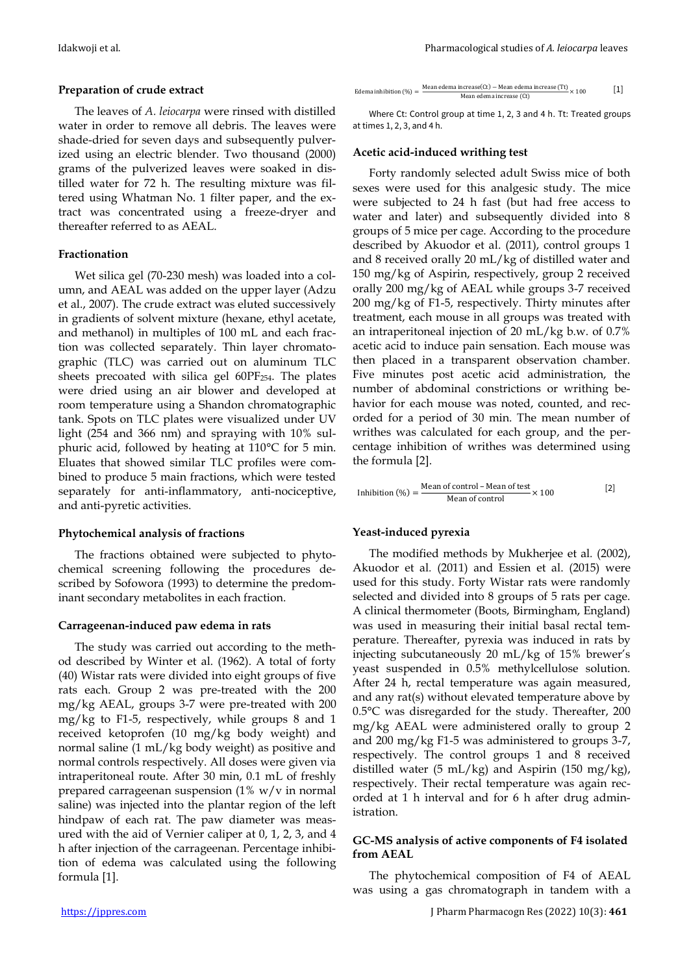The leaves of *A. leiocarpa* were rinsed with distilled water in order to remove all debris. The leaves were shade-dried for seven days and subsequently pulverized using an electric blender. Two thousand (2000) grams of the pulverized leaves were soaked in distilled water for 72 h. The resulting mixture was filtered using Whatman No. 1 filter paper, and the extract was concentrated using a freeze-dryer and thereafter referred to as AEAL.

## **Fractionation**

Wet silica gel (70-230 mesh) was loaded into a column, and AEAL was added on the upper layer (Adzu et al., 2007). The crude extract was eluted successively in gradients of solvent mixture (hexane, ethyl acetate, and methanol) in multiples of 100 mL and each fraction was collected separately. Thin layer chromatographic (TLC) was carried out on aluminum TLC sheets precoated with silica gel  $60PF_{254}$ . The plates were dried using an air blower and developed at room temperature using a Shandon chromatographic tank. Spots on TLC plates were visualized under UV light (254 and 366 nm) and spraying with 10% sulphuric acid, followed by heating at 110°C for 5 min. Eluates that showed similar TLC profiles were combined to produce 5 main fractions, which were tested separately for anti-inflammatory, anti-nociceptive, and anti-pyretic activities.

# **Phytochemical analysis of fractions**

The fractions obtained were subjected to phytochemical screening following the procedures described by Sofowora (1993) to determine the predominant secondary metabolites in each fraction.

## **Carrageenan-induced paw edema in rats**

The study was carried out according to the method described by Winter et al. (1962). A total of forty (40) Wistar rats were divided into eight groups of five rats each. Group 2 was pre-treated with the 200 mg/kg AEAL, groups 3-7 were pre-treated with 200 mg/kg to F1-5, respectively, while groups 8 and 1 received ketoprofen (10 mg/kg body weight) and normal saline (1 mL/kg body weight) as positive and normal controls respectively. All doses were given via intraperitoneal route. After 30 min, 0.1 mL of freshly prepared carrageenan suspension  $(1\% \text{ w/v} \cdot \text{in normal})$ saline) was injected into the plantar region of the left hindpaw of each rat. The paw diameter was measured with the aid of Vernier caliper at 0, 1, 2, 3, and 4 h after injection of the carrageenan. Percentage inhibition of edema was calculated using the following formula [1].

Edema inhibition (%) =  $\frac{\text{Mean edema increase (Ct)} - \text{Mean edema increase (Tt)}}{\text{Mean edema increase (Ct)}} \times 100$ [1]

Where Ct: Control group at time 1, 2, 3 and 4 h. Tt: Treated groups at times 1, 2, 3, and 4 h.

# **Acetic acid-induced writhing test**

Forty randomly selected adult Swiss mice of both sexes were used for this analgesic study. The mice were subjected to 24 h fast (but had free access to water and later) and subsequently divided into 8 groups of 5 mice per cage. According to the procedure described by Akuodor et al. (2011), control groups 1 and 8 received orally 20 mL/kg of distilled water and 150 mg/kg of Aspirin, respectively, group 2 received orally 200 mg/kg of AEAL while groups 3-7 received 200 mg/kg of F1-5, respectively. Thirty minutes after treatment, each mouse in all groups was treated with an intraperitoneal injection of 20 mL/kg b.w. of 0.7% acetic acid to induce pain sensation. Each mouse was then placed in a transparent observation chamber. Five minutes post acetic acid administration, the number of abdominal constrictions or writhing behavior for each mouse was noted, counted, and recorded for a period of 30 min. The mean number of writhes was calculated for each group, and the percentage inhibition of writhes was determined using the formula [2].

Inhibition (%) = 
$$
\frac{\text{Mean of control} - \text{Mean of test}}{\text{Mean of control}} \times 100
$$
 [2]

# **Yeast-induced pyrexia**

The modified methods by Mukherjee et al*.* (2002), Akuodor et al*.* (2011) and Essien et al. (2015) were used for this study. Forty Wistar rats were randomly selected and divided into 8 groups of 5 rats per cage. A clinical thermometer (Boots, Birmingham, England) was used in measuring their initial basal rectal temperature. Thereafter, pyrexia was induced in rats by injecting subcutaneously 20 mL/kg of 15% brewer's yeast suspended in 0.5% methylcellulose solution. After 24 h, rectal temperature was again measured, and any rat(s) without elevated temperature above by 0.5°C was disregarded for the study. Thereafter, 200 mg/kg AEAL were administered orally to group 2 and 200 mg/kg F1-5 was administered to groups 3-7, respectively. The control groups 1 and 8 received distilled water  $(5 \text{ mL/kg})$  and Aspirin  $(150 \text{ mg/kg})$ , respectively. Their rectal temperature was again recorded at 1 h interval and for 6 h after drug administration.

# **GC-MS analysis of active components of F4 isolated from AEAL**

The phytochemical composition of F4 of AEAL was using a gas chromatograph in tandem with a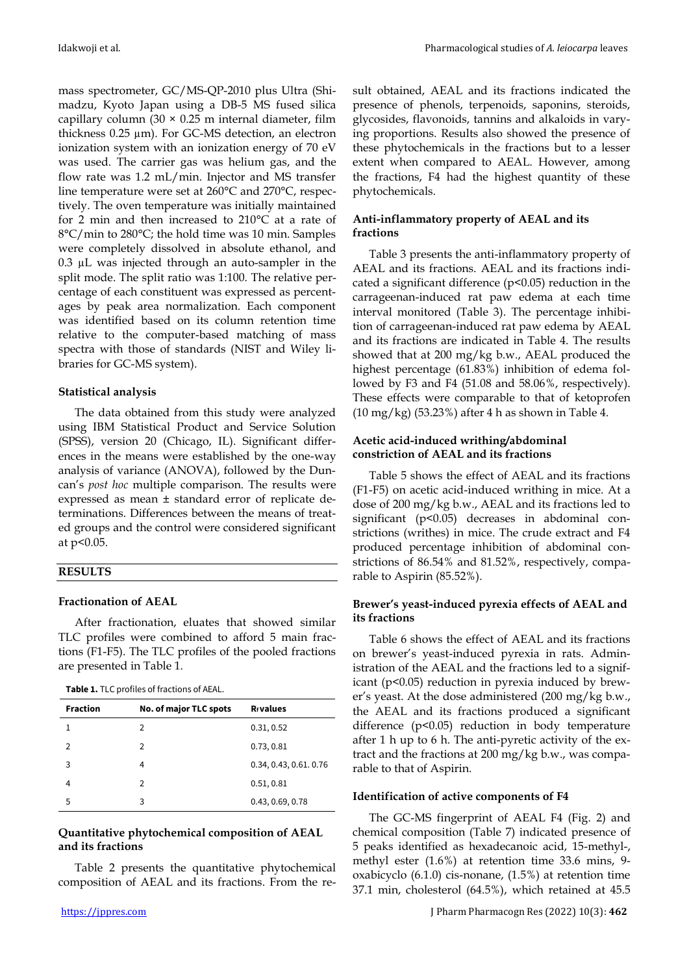mass spectrometer, GC/MS-QP-2010 plus Ultra (Shimadzu, Kyoto Japan using a DB-5 MS fused silica capillary column (30  $\times$  0.25 m internal diameter, film thickness 0.25 µm). For GC-MS detection, an electron ionization system with an ionization energy of 70 eV was used. The carrier gas was helium gas, and the flow rate was 1.2 mL/min. Injector and MS transfer line temperature were set at 260°C and 270°C, respectively. The oven temperature was initially maintained for 2 min and then increased to 210°C at a rate of 8°C/min to 280°C; the hold time was 10 min. Samples were completely dissolved in absolute ethanol, and 0.3 µL was injected through an auto-sampler in the split mode. The split ratio was 1:100. The relative percentage of each constituent was expressed as percentages by peak area normalization. Each component was identified based on its column retention time relative to the computer-based matching of mass spectra with those of standards (NIST and Wiley libraries for GC-MS system).

# **Statistical analysis**

The data obtained from this study were analyzed using IBM Statistical Product and Service Solution (SPSS), version 20 (Chicago, IL). Significant differences in the means were established by the one-way analysis of variance (ANOVA), followed by the Duncan's *post hoc* multiple comparison. The results were expressed as mean ± standard error of replicate determinations. Differences between the means of treated groups and the control were considered significant at p<0.05.

# **RESULTS**

# **Fractionation of AEAL**

After fractionation, eluates that showed similar TLC profiles were combined to afford 5 main fractions (F1-F5). The TLC profiles of the pooled fractions are presented in Table 1.

| <b>Fraction</b> | No. of major TLC spots | <b>R</b> <sub>f</sub> values |
|-----------------|------------------------|------------------------------|
|                 | 2                      | 0.31, 0.52                   |
| 2               | 2                      | 0.73, 0.81                   |
| 3               | 4                      | 0.34, 0.43, 0.61, 0.76       |
| 4               | 2                      | 0.51, 0.81                   |
| 5               | 3                      | 0.43, 0.69, 0.78             |

# **Quantitative phytochemical composition of AEAL and its fractions**

Table 2 presents the quantitative phytochemical composition of AEAL and its fractions. From the result obtained, AEAL and its fractions indicated the presence of phenols, terpenoids, saponins, steroids, glycosides, flavonoids, tannins and alkaloids in varying proportions. Results also showed the presence of these phytochemicals in the fractions but to a lesser extent when compared to AEAL. However, among the fractions, F4 had the highest quantity of these phytochemicals.

# **Anti-inflammatory property of AEAL and its fractions**

Table 3 presents the anti-inflammatory property of AEAL and its fractions. AEAL and its fractions indicated a significant difference (p<0.05) reduction in the carrageenan-induced rat paw edema at each time interval monitored (Table 3). The percentage inhibition of carrageenan-induced rat paw edema by AEAL and its fractions are indicated in Table 4. The results showed that at 200 mg/kg b.w., AEAL produced the highest percentage (61.83%) inhibition of edema followed by F3 and F4 (51.08 and 58.06%, respectively). These effects were comparable to that of ketoprofen (10 mg/kg) (53.23%) after 4 h as shown in Table 4.

# **Acetic acid-induced writhing/abdominal constriction of AEAL and its fractions**

Table 5 shows the effect of AEAL and its fractions (F1-F5) on acetic acid-induced writhing in mice. At a dose of 200 mg/kg b.w., AEAL and its fractions led to significant (p<0.05) decreases in abdominal constrictions (writhes) in mice. The crude extract and F4 produced percentage inhibition of abdominal constrictions of 86.54% and 81.52%, respectively, comparable to Aspirin (85.52%).

# **Brewer's yeast-induced pyrexia effects of AEAL and its fractions**

Table 6 shows the effect of AEAL and its fractions on brewer's yeast-induced pyrexia in rats. Administration of the AEAL and the fractions led to a significant (p<0.05) reduction in pyrexia induced by brewer's yeast. At the dose administered (200 mg/kg b.w., the AEAL and its fractions produced a significant difference (p<0.05) reduction in body temperature after 1 h up to 6 h. The anti-pyretic activity of the extract and the fractions at 200 mg/kg b.w., was comparable to that of Aspirin.

## **Identification of active components of F4**

The GC-MS fingerprint of AEAL F4 (Fig. 2) and chemical composition (Table 7) indicated presence of 5 peaks identified as hexadecanoic acid, 15-methyl-, methyl ester (1.6%) at retention time 33.6 mins, 9 oxabicyclo (6.1.0) cis-nonane, (1.5%) at retention time 37.1 min, cholesterol (64.5%), which retained at 45.5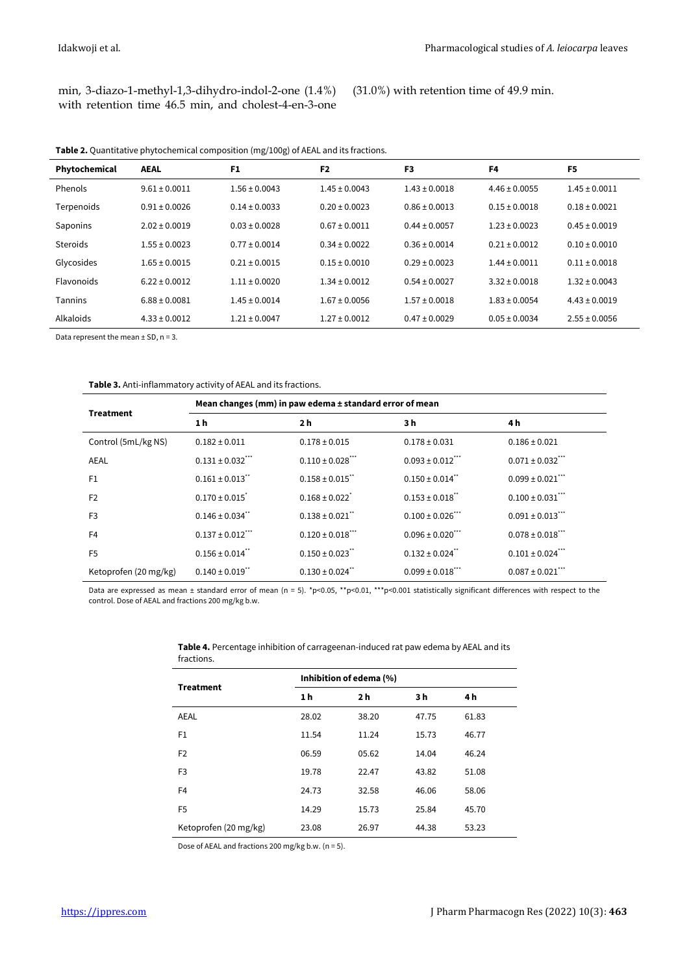|  |  | min, 3-diazo-1-methyl-1,3-dihydro-indol-2-one (1.4%) |  |
|--|--|------------------------------------------------------|--|
|  |  | with retention time 46.5 min, and cholest-4-en-3-one |  |

(31.0%) with retention time of 49.9 min.

| <b>Table 2.</b> Quantitative phytochemical composition (mg/100g) of AEAL and its fractions. |  |  |  |
|---------------------------------------------------------------------------------------------|--|--|--|
|---------------------------------------------------------------------------------------------|--|--|--|

| Phytochemical  | <b>AEAL</b>       | F <sub>1</sub>    | F <sub>2</sub>    | F3                | F <sub>4</sub>    | F5                |
|----------------|-------------------|-------------------|-------------------|-------------------|-------------------|-------------------|
| Phenols        | $9.61 \pm 0.0011$ | $1.56 \pm 0.0043$ | $1.45 \pm 0.0043$ | $1.43 \pm 0.0018$ | $4.46 \pm 0.0055$ | $1.45 \pm 0.0011$ |
| Terpenoids     | $0.91 \pm 0.0026$ | $0.14 \pm 0.0033$ | $0.20 \pm 0.0023$ | $0.86 \pm 0.0013$ | $0.15 \pm 0.0018$ | $0.18 \pm 0.0021$ |
| Saponins       | $2.02 \pm 0.0019$ | $0.03 \pm 0.0028$ | $0.67 \pm 0.0011$ | $0.44 \pm 0.0057$ | $1.23 \pm 0.0023$ | $0.45 \pm 0.0019$ |
| Steroids       | $1.55 \pm 0.0023$ | $0.77 \pm 0.0014$ | $0.34 \pm 0.0022$ | $0.36 \pm 0.0014$ | $0.21 \pm 0.0012$ | $0.10 \pm 0.0010$ |
| Glycosides     | $1.65 \pm 0.0015$ | $0.21 \pm 0.0015$ | $0.15 \pm 0.0010$ | $0.29 \pm 0.0023$ | $1.44 \pm 0.0011$ | $0.11 \pm 0.0018$ |
| Flavonoids     | $6.22 \pm 0.0012$ | $1.11 \pm 0.0020$ | $1.34 \pm 0.0012$ | $0.54 \pm 0.0027$ | $3.32 \pm 0.0018$ | $1.32 \pm 0.0043$ |
| <b>Tannins</b> | $6.88 \pm 0.0081$ | $1.45 \pm 0.0014$ | $1.67 \pm 0.0056$ | $1.57 \pm 0.0018$ | $1.83 \pm 0.0054$ | $4.43 \pm 0.0019$ |
| Alkaloids      | $4.33 \pm 0.0012$ | $1.21 \pm 0.0047$ | $1.27 \pm 0.0012$ | $0.47 \pm 0.0029$ | $0.05 \pm 0.0034$ | $2.55 \pm 0.0056$ |

Data represent the mean  $\pm$  SD, n = 3.

**Table 3.** Anti-inflammatory activity of AEAL and its fractions.

|                       | Mean changes (mm) in paw edema ± standard error of mean |                                  |                                  |                                  |  |  |  |  |
|-----------------------|---------------------------------------------------------|----------------------------------|----------------------------------|----------------------------------|--|--|--|--|
| <b>Treatment</b>      | 1 <sub>h</sub>                                          | 2 h                              | 3 h                              | 4 h                              |  |  |  |  |
| Control (5mL/kg NS)   | $0.182 \pm 0.011$                                       | $0.178 \pm 0.015$                | $0.178 \pm 0.031$                | $0.186 \pm 0.021$                |  |  |  |  |
| <b>AEAL</b>           | $0.131 \pm 0.032$ <sup>***</sup>                        | $0.110 \pm 0.028$ ***            | $0.093 \pm 0.012$ <sup>***</sup> | $0.071 \pm 0.032$ <sup>***</sup> |  |  |  |  |
| F1                    | $0.161 \pm 0.013$ **                                    | $0.158 \pm 0.015$ "              | $0.150 \pm 0.014$ <sup>**</sup>  | $0.099 \pm 0.021$ ***            |  |  |  |  |
| F <sub>2</sub>        | $0.170 \pm 0.015$                                       | $0.168 \pm 0.022$ <sup>*</sup>   | $0.153 \pm 0.018$ <sup>**</sup>  | $0.100 \pm 0.031$ ""             |  |  |  |  |
| F <sub>3</sub>        | $0.146 \pm 0.034$ <sup>**</sup>                         | $0.138 \pm 0.021$ "              | $0.100 \pm 0.026$ ***            | $0.091 \pm 0.013$ "              |  |  |  |  |
| F4                    | $0.137 \pm 0.012$ <sup>***</sup>                        | $0.120 \pm 0.018$ <sup>***</sup> | $0.096 \pm 0.020$ <sup>***</sup> | $0.078 \pm 0.018$ <sup>***</sup> |  |  |  |  |
| F <sub>5</sub>        | $0.156 \pm 0.014$ "                                     | $0.150 \pm 0.023$ "              | $0.132 \pm 0.024$ <sup>**</sup>  | $0.101 \pm 0.024$ <sup>***</sup> |  |  |  |  |
| Ketoprofen (20 mg/kg) | $0.140 \pm 0.019$ **                                    | $0.130 \pm 0.024$ <sup>**</sup>  | $0.099 \pm 0.018$ ""             | $0.087 \pm 0.021$                |  |  |  |  |

Data are expressed as mean ± standard error of mean (n = 5). \*p<0.05, \*\*p<0.01, \*\*\*p<0.001 statistically significant differences with respect to the control. Dose of AEAL and fractions 200 mg/kg b.w.

| <b>Treatment</b>      | Inhibition of edema (%) |       |       |       |  |  |  |
|-----------------------|-------------------------|-------|-------|-------|--|--|--|
|                       | 1 h                     | 2 h   | 3 h   | 4 h   |  |  |  |
| <b>AEAL</b>           | 28.02                   | 38.20 | 47.75 | 61.83 |  |  |  |
| F1                    | 11.54                   | 11.24 | 15.73 | 46.77 |  |  |  |
| F <sub>2</sub>        | 06.59                   | 05.62 | 14.04 | 46.24 |  |  |  |
| F3                    | 19.78                   | 22.47 | 43.82 | 51.08 |  |  |  |
| F4                    | 24.73                   | 32.58 | 46.06 | 58.06 |  |  |  |
| F <sub>5</sub>        | 14.29                   | 15.73 | 25.84 | 45.70 |  |  |  |
| Ketoprofen (20 mg/kg) | 23.08                   | 26.97 | 44.38 | 53.23 |  |  |  |

**Table 4.** Percentage inhibition of carrageenan-induced rat paw edema by AEAL and its fractions.

Dose of AEAL and fractions 200 mg/kg b.w. (n = 5).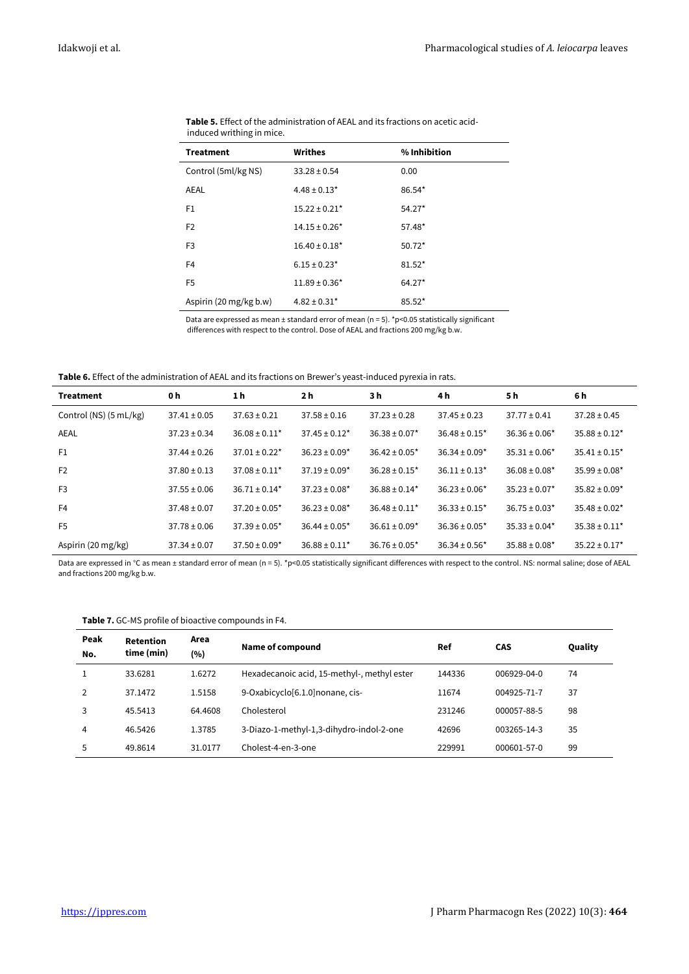| <b>Treatment</b>       | Writhes                       | % Inhibition |
|------------------------|-------------------------------|--------------|
| Control (5ml/kg NS)    | $33.28 \pm 0.54$              | 0.00         |
| AEAL                   | $4.48 \pm 0.13$ *             | 86.54*       |
| F <sub>1</sub>         | $15.22 \pm 0.21$ *            | $54.27*$     |
| F <sub>2</sub>         | $14.15 \pm 0.26*$             | 57.48*       |
| F <sub>3</sub>         | $16.40 \pm 0.18$ <sup>*</sup> | $50.72*$     |
| F4                     | $6.15 \pm 0.23$ *             | $81.52*$     |
| F <sub>5</sub>         | $11.89 \pm 0.36*$             | $64.27*$     |
| Aspirin (20 mg/kg b.w) | $4.82 \pm 0.31$ *             | $85.52*$     |

**Table 5.** Effect of the administration of AEAL and its fractions on acetic acidinduced writhing in mice.

Data are expressed as mean  $\pm$  standard error of mean (n = 5). \*p<0.05 statistically significant differences with respect to the control. Dose of AEAL and fractions 200 mg/kg b.w.

**Table 6.** Effect of the administration of AEAL and its fractions on Brewer's yeast-induced pyrexia in rats.

| <b>Treatment</b>       | 0 h              | 1 h                | 2 <sub>h</sub>     | 3 h                           | 4 h                           | 5 h                | 6 h                           |
|------------------------|------------------|--------------------|--------------------|-------------------------------|-------------------------------|--------------------|-------------------------------|
| Control (NS) (5 mL/kg) | $37.41 \pm 0.05$ | $37.63 \pm 0.21$   | $37.58 \pm 0.16$   | $37.23 \pm 0.28$              | $37.45 \pm 0.23$              | $37.77 \pm 0.41$   | $37.28 \pm 0.45$              |
| AEAL                   | $37.23 \pm 0.34$ | $36.08 \pm 0.11^*$ | $37.45 \pm 0.12^*$ | $36.38 \pm 0.07$ *            | $36.48 \pm 0.15^*$            | $36.36 \pm 0.06*$  | $35.88 \pm 0.12^*$            |
| F1                     | $37.44 \pm 0.26$ | $37.01 \pm 0.22$ * | $36.23 \pm 0.09*$  | $36.42 \pm 0.05^*$            | $36.34 \pm 0.09*$             | $35.31 \pm 0.06*$  | $35.41 \pm 0.15$ <sup>*</sup> |
| F <sub>2</sub>         | $37.80 \pm 0.13$ | $37.08 \pm 0.11$ * | $37.19 \pm 0.09*$  | $36.28 \pm 0.15^*$            | $36.11 \pm 0.13$ <sup>*</sup> | $36.08 \pm 0.08^*$ | $35.99 \pm 0.08^*$            |
| F <sub>3</sub>         | $37.55 \pm 0.06$ | $36.71 \pm 0.14*$  | $37.23 \pm 0.08^*$ | $36.88 \pm 0.14^*$            | $36.23 \pm 0.06^*$            | $35.23 \pm 0.07$ * | $35.82 \pm 0.09*$             |
| F <sub>4</sub>         | $37.48 \pm 0.07$ | $37.20 \pm 0.05^*$ | $36.23 \pm 0.08^*$ | $36.48 \pm 0.11$ <sup>*</sup> | $36.33 \pm 0.15^*$            | $36.75 \pm 0.03*$  | $35.48 \pm 0.02^*$            |
| F <sub>5</sub>         | $37.78 \pm 0.06$ | $37.39 \pm 0.05^*$ | $36.44 \pm 0.05^*$ | $36.61 \pm 0.09$ <sup>*</sup> | $36.36 \pm 0.05^*$            | $35.33 \pm 0.04*$  | $35.38 \pm 0.11^*$            |
| Aspirin (20 mg/kg)     | $37.34 \pm 0.07$ | $37.50 \pm 0.09^*$ | $36.88 \pm 0.11^*$ | $36.76 \pm 0.05^*$            | $36.34 \pm 0.56^*$            | $35.88 \pm 0.08^*$ | $35.22 \pm 0.17$ *            |

Data are expressed in °C as mean ± standard error of mean (n = 5). \*p<0.05 statistically significant differences with respect to the control. NS: normal saline; dose of AEAL and fractions 200 mg/kg b.w.

| Peak<br>No. | Retention<br>time (min) | Area<br>(%) | Name of compound                            | Ref    | <b>CAS</b>  | Quality |
|-------------|-------------------------|-------------|---------------------------------------------|--------|-------------|---------|
|             | 33.6281                 | 1.6272      | Hexadecanoic acid, 15-methyl-, methyl ester | 144336 | 006929-04-0 | 74      |
|             | 37.1472                 | 1.5158      | 9-Oxabicyclo[6.1.0] nonane, cis-            | 11674  | 004925-71-7 | 37      |
| 3           | 45.5413                 | 64.4608     | Cholesterol                                 | 231246 | 000057-88-5 | 98      |
| 4           | 46.5426                 | 1.3785      | 3-Diazo-1-methyl-1,3-dihydro-indol-2-one    | 42696  | 003265-14-3 | 35      |
| 5           | 49.8614                 | 31.0177     | Cholest-4-en-3-one                          | 229991 | 000601-57-0 | 99      |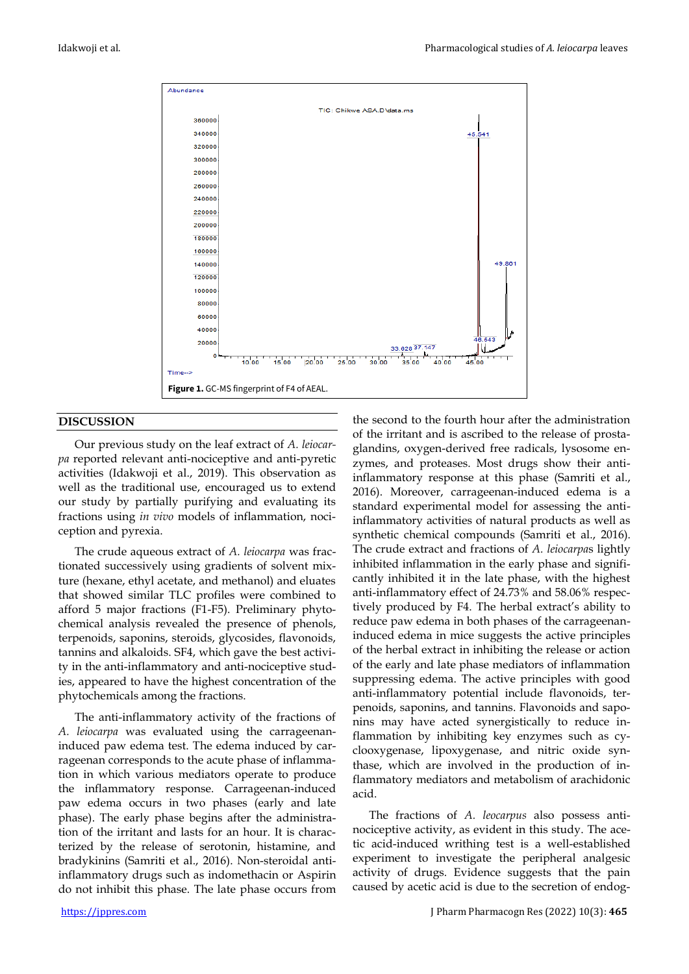

#### **DISCUSSION**

Our previous study on the leaf extract of *A. leiocarpa* reported relevant anti-nociceptive and anti-pyretic activities (Idakwoji et al., 2019). This observation as well as the traditional use, encouraged us to extend our study by partially purifying and evaluating its fractions using *in vivo* models of inflammation, nociception and pyrexia.

The crude aqueous extract of *A. leiocarpa* was fractionated successively using gradients of solvent mixture (hexane, ethyl acetate, and methanol) and eluates that showed similar TLC profiles were combined to afford 5 major fractions (F1-F5). Preliminary phytochemical analysis revealed the presence of phenols, terpenoids, saponins, steroids, glycosides, flavonoids, tannins and alkaloids. SF4, which gave the best activity in the anti-inflammatory and anti-nociceptive studies, appeared to have the highest concentration of the phytochemicals among the fractions.

The anti-inflammatory activity of the fractions of *A. leiocarpa* was evaluated using the carrageenaninduced paw edema test. The edema induced by carrageenan corresponds to the acute phase of inflammation in which various mediators operate to produce the inflammatory response. Carrageenan-induced paw edema occurs in two phases (early and late phase). The early phase begins after the administration of the irritant and lasts for an hour. It is characterized by the release of serotonin, histamine, and bradykinins (Samriti et al., 2016). Non-steroidal antiinflammatory drugs such as indomethacin or Aspirin do not inhibit this phase. The late phase occurs from

the second to the fourth hour after the administration of the irritant and is ascribed to the release of prostaglandins, oxygen-derived free radicals, lysosome enzymes, and proteases. Most drugs show their antiinflammatory response at this phase (Samriti et al., 2016). Moreover, carrageenan-induced edema is a standard experimental model for assessing the antiinflammatory activities of natural products as well as synthetic chemical compounds (Samriti et al., 2016). The crude extract and fractions of *A. leiocarpa*s lightly inhibited inflammation in the early phase and significantly inhibited it in the late phase, with the highest anti-inflammatory effect of 24.73% and 58.06% respectively produced by F4. The herbal extract's ability to reduce paw edema in both phases of the carrageenaninduced edema in mice suggests the active principles of the herbal extract in inhibiting the release or action of the early and late phase mediators of inflammation suppressing edema. The active principles with good anti-inflammatory potential include flavonoids, terpenoids, saponins, and tannins. Flavonoids and saponins may have acted synergistically to reduce inflammation by inhibiting key enzymes such as cyclooxygenase, lipoxygenase, and nitric oxide synthase, which are involved in the production of inflammatory mediators and metabolism of arachidonic acid.

The fractions of *A. leocarpus* also possess antinociceptive activity, as evident in this study. The acetic acid-induced writhing test is a well-established experiment to investigate the peripheral analgesic activity of drugs. Evidence suggests that the pain caused by acetic acid is due to the secretion of endog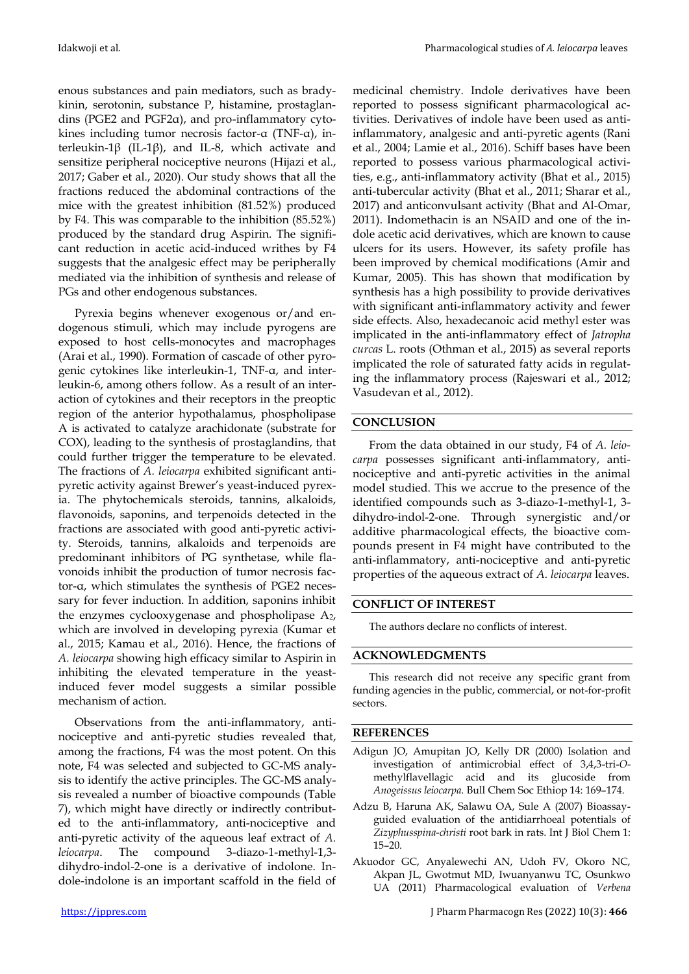enous substances and pain mediators, such as bradykinin, serotonin, substance P, histamine, prostaglandins (PGE2 and PGF2α), and pro-inflammatory cytokines including tumor necrosis factor-α (TNF-α), interleukin-1β (IL-1β), and IL-8, which activate and sensitize peripheral nociceptive neurons (Hijazi et al., 2017; Gaber et al., 2020). Our study shows that all the fractions reduced the abdominal contractions of the mice with the greatest inhibition (81.52%) produced by F4. This was comparable to the inhibition (85.52%) produced by the standard drug Aspirin. The significant reduction in acetic acid-induced writhes by F4 suggests that the analgesic effect may be peripherally mediated via the inhibition of synthesis and release of PGs and other endogenous substances.

Pyrexia begins whenever exogenous or/and endogenous stimuli, which may include pyrogens are exposed to host cells-monocytes and macrophages (Arai et al., 1990). Formation of cascade of other pyrogenic cytokines like interleukin-1, TNF-α, and interleukin-6, among others follow. As a result of an interaction of cytokines and their receptors in the preoptic region of the anterior hypothalamus, phospholipase A is activated to catalyze arachidonate (substrate for COX), leading to the synthesis of prostaglandins, that could further trigger the temperature to be elevated. The fractions of *A. leiocarpa* exhibited significant antipyretic activity against Brewer's yeast-induced pyrexia. The phytochemicals steroids, tannins, alkaloids, flavonoids, saponins, and terpenoids detected in the fractions are associated with good anti-pyretic activity. Steroids, tannins, alkaloids and terpenoids are predominant inhibitors of PG synthetase, while flavonoids inhibit the production of tumor necrosis factor-α, which stimulates the synthesis of PGE2 necessary for fever induction. In addition, saponins inhibit the enzymes cyclooxygenase and phospholipase  $A_2$ , which are involved in developing pyrexia (Kumar et al., 2015; Kamau et al., 2016). Hence, the fractions of *A. leiocarpa* showing high efficacy similar to Aspirin in inhibiting the elevated temperature in the yeastinduced fever model suggests a similar possible mechanism of action.

Observations from the anti-inflammatory, antinociceptive and anti-pyretic studies revealed that, among the fractions, F4 was the most potent. On this note, F4 was selected and subjected to GC-MS analysis to identify the active principles. The GC-MS analysis revealed a number of bioactive compounds (Table 7), which might have directly or indirectly contributed to the anti-inflammatory, anti-nociceptive and anti-pyretic activity of the aqueous leaf extract of *A. leiocarpa*. The compound 3-diazo-1-methyl-1,3 dihydro-indol-2-one is a derivative of indolone. Indole-indolone is an important scaffold in the field of

medicinal chemistry. Indole derivatives have been reported to possess significant pharmacological activities. Derivatives of indole have been used as antiinflammatory, analgesic and anti-pyretic agents (Rani et al., 2004; Lamie et al., 2016). Schiff bases have been reported to possess various pharmacological activities, e.g., anti-inflammatory activity (Bhat et al., 2015) anti-tubercular activity (Bhat et al., 2011; Sharar et al., 2017) and anticonvulsant activity (Bhat and Al-Omar, 2011). Indomethacin is an NSAID and one of the indole acetic acid derivatives, which are known to cause ulcers for its users. However, its safety profile has been improved by chemical modifications (Amir and Kumar, 2005). This has shown that modification by synthesis has a high possibility to provide derivatives with significant anti-inflammatory activity and fewer side effects. Also, hexadecanoic acid methyl ester was implicated in the anti-inflammatory effect of *Jatropha curcas* L. roots (Othman et al., 2015) as several reports implicated the role of saturated fatty acids in regulating the inflammatory process (Rajeswari et al., 2012; Vasudevan et al., 2012).

# **CONCLUSION**

From the data obtained in our study, F4 of *A. leiocarpa* possesses significant anti-inflammatory, antinociceptive and anti-pyretic activities in the animal model studied. This we accrue to the presence of the identified compounds such as 3-diazo-1-methyl-1, 3 dihydro-indol-2-one. Through synergistic and/or additive pharmacological effects, the bioactive compounds present in F4 might have contributed to the anti-inflammatory, anti-nociceptive and anti-pyretic properties of the aqueous extract of *A. leiocarpa* leaves.

## **CONFLICT OF INTEREST**

The authors declare no conflicts of interest.

## **ACKNOWLEDGMENTS**

This research did not receive any specific grant from funding agencies in the public, commercial, or not-for-profit sectors.

#### **REFERENCES**

- Adigun JO, Amupitan JO, Kelly DR (2000) Isolation and investigation of antimicrobial effect of 3,4,3-tri-*O*methylflavellagic acid and its glucoside from *Anogeissus leiocarpa*. Bull Chem Soc Ethiop 14: 169–174.
- Adzu B, Haruna AK, Salawu OA, Sule A (2007) Bioassayguided evaluation of the antidiarrhoeal potentials of *Zizyphusspina-christi* root bark in rats. Int J Biol Chem 1: 15–20.
- Akuodor GC, Anyalewechi AN, Udoh FV, Okoro NC, Akpan JL, Gwotmut MD, Iwuanyanwu TC, Osunkwo UA (2011) Pharmacological evaluation of *Verbena*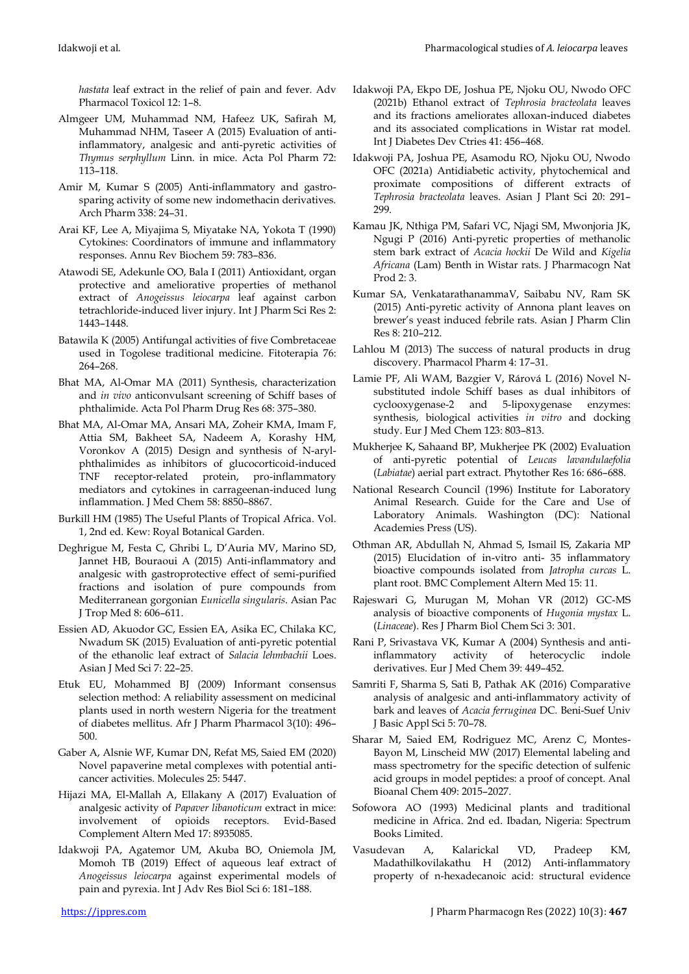*hastata* leaf extract in the relief of pain and fever. Adv Pharmacol Toxicol 12: 1–8.

- Almgeer UM, Muhammad NM, Hafeez UK, Safirah M, Muhammad NHM, Taseer A (2015) Evaluation of antiinflammatory, analgesic and anti-pyretic activities of *Thymus serphyllum* Linn. in mice. Acta Pol Pharm 72: 113–118.
- Amir M, Kumar S (2005) Anti-inflammatory and gastrosparing activity of some new indomethacin derivatives. Arch Pharm 338: 24–31.
- Arai KF, Lee A, Miyajima S, Miyatake NA, Yokota T (1990) Cytokines: Coordinators of immune and inflammatory responses. Annu Rev Biochem 59: 783–836.
- Atawodi SE, Adekunle OO, Bala I (2011) Antioxidant, organ protective and ameliorative properties of methanol extract of *Anogeissus leiocarpa* leaf against carbon tetrachloride-induced liver injury. Int J Pharm Sci Res 2: 1443–1448.
- Batawila K (2005) Antifungal activities of five Combretaceae used in Togolese traditional medicine. Fitoterapia 76: 264–268.
- Bhat MA, Al-Omar MA (2011) Synthesis, characterization and *in vivo* anticonvulsant screening of Schiff bases of phthalimide. Acta Pol Pharm Drug Res 68: 375–380.
- Bhat MA, Al-Omar MA, Ansari MA, Zoheir KMA, Imam F, Attia SM, Bakheet SA, Nadeem A, Korashy HM, Voronkov A (2015) Design and synthesis of N-arylphthalimides as inhibitors of glucocorticoid-induced TNF receptor-related protein, pro-inflammatory mediators and cytokines in carrageenan-induced lung inflammation. J Med Chem 58: 8850–8867.
- Burkill HM (1985) The Useful Plants of Tropical Africa*.* Vol. 1, 2nd ed. Kew: Royal Botanical Garden.
- Deghrigue M, Festa C, Ghribi L, D'Auria MV, Marino SD, Jannet HB, Bouraoui A (2015) Anti-inflammatory and analgesic with gastroprotective effect of semi-purified fractions and isolation of pure compounds from Mediterranean gorgonian *Eunicella singularis*. Asian Pac J Trop Med 8: 606–611.
- Essien AD, Akuodor GC, Essien EA, Asika EC, Chilaka KC, Nwadum SK (2015) Evaluation of anti-pyretic potential of the ethanolic leaf extract of *Salacia lehmbachii* Loes. Asian J Med Sci 7: 22–25.
- Etuk EU, Mohammed BJ (2009) Informant consensus selection method: A reliability assessment on medicinal plants used in north western Nigeria for the treatment of diabetes mellitus. Afr J Pharm Pharmacol 3(10): 496– 500.
- Gaber A, Alsnie WF, Kumar DN, Refat MS, Saied EM (2020) Novel papaverine metal complexes with potential anticancer activities. Molecules 25: 5447.
- Hijazi MA, El-Mallah A, Ellakany A (2017) Evaluation of analgesic activity of *Papaver libanoticum* extract in mice: involvement of opioids receptors. Evid-Based Complement Altern Med 17: 8935085.
- Idakwoji PA, Agatemor UM, Akuba BO, Oniemola JM, Momoh TB (2019) Effect of aqueous leaf extract of *Anogeissus leiocarpa* against experimental models of pain and pyrexia. Int J Adv Res Biol Sci 6: 181–188.
- Idakwoji PA, Ekpo DE, Joshua PE, Njoku OU, Nwodo OFC (2021b) Ethanol extract of *Tephrosia bracteolata* leaves and its fractions ameliorates alloxan-induced diabetes and its associated complications in Wistar rat model. Int J Diabetes Dev Ctries 41: 456–468.
- Idakwoji PA, Joshua PE, Asamodu RO, Njoku OU, Nwodo OFC (2021a) Antidiabetic activity, phytochemical and proximate compositions of different extracts of *Tephrosia bracteolata* leaves. Asian J Plant Sci 20: 291– 299.
- Kamau JK, Nthiga PM, Safari VC, Njagi SM, Mwonjoria JK, Ngugi P (2016) Anti-pyretic properties of methanolic stem bark extract of *Acacia hockii* De Wild and *Kigelia Africana* (Lam) Benth in Wistar rats. J Pharmacogn Nat Prod 2: 3.
- Kumar SA, VenkatarathanammaV, Saibabu NV, Ram SK (2015) Anti-pyretic activity of Annona plant leaves on brewer's yeast induced febrile rats. Asian J Pharm Clin Res 8: 210–212.
- Lahlou M (2013) The success of natural products in drug discovery. Pharmacol Pharm 4: 17–31.
- Lamie PF, Ali WAM, Bazgier V, Rárová L (2016) Novel Nsubstituted indole Schiff bases as dual inhibitors of cyclooxygenase-2 and 5-lipoxygenase enzymes: synthesis, biological activities *in vitro* and docking study. Eur J Med Chem 123: 803–813.
- Mukherjee K, Sahaand BP, Mukherjee PK (2002) Evaluation of anti-pyretic potential of *Leucas lavandulaefolia* (*Labiatae*) aerial part extract. Phytother Res 16: 686–688.
- National Research Council (1996) Institute for Laboratory Animal Research. Guide for the Care and Use of Laboratory Animals. Washington (DC): National Academies Press (US).
- Othman AR, Abdullah N, Ahmad S, Ismail IS, Zakaria MP (2015) Elucidation of in-vitro anti- 35 inflammatory bioactive compounds isolated from *Jatropha curcas* L. plant root. BMC Complement Altern Med 15: 11.
- Rajeswari G, Murugan M, Mohan VR (2012) GC-MS analysis of bioactive components of *Hugonia mystax* L. (*Linaceae*). Res J Pharm Biol Chem Sci 3: 301.
- Rani P, Srivastava VK, Kumar A (2004) Synthesis and antiinflammatory activity of heterocyclic indole derivatives. Eur J Med Chem 39: 449–452.
- Samriti F, Sharma S, Sati B, Pathak AK (2016) Comparative analysis of analgesic and anti-inflammatory activity of bark and leaves of *Acacia ferruginea* DC*.* Beni-Suef Univ J Basic Appl Sci 5: 70–78.
- Sharar M, Saied EM, Rodriguez MC, Arenz C, Montes-Bayon M, Linscheid MW (2017) Elemental labeling and mass spectrometry for the specific detection of sulfenic acid groups in model peptides: a proof of concept. Anal Bioanal Chem 409: 2015–2027.
- Sofowora AO (1993) Medicinal plants and traditional medicine in Africa. 2nd ed. Ibadan, Nigeria: Spectrum Books Limited.
- Vasudevan A, Kalarickal VD, Pradeep KM, Madathilkovilakathu H (2012) Anti-inflammatory property of n-hexadecanoic acid: structural evidence